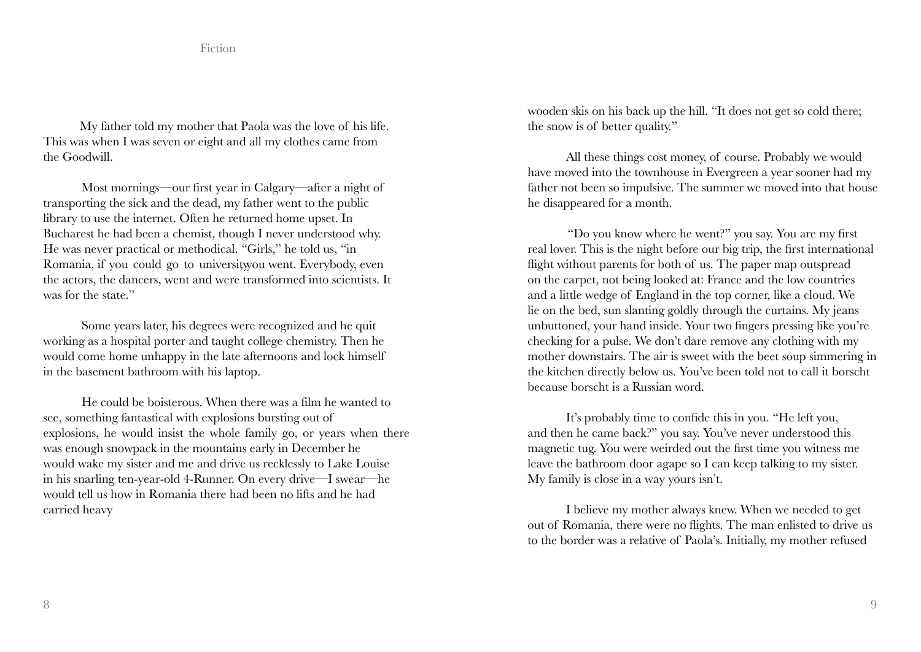My father told my mother that Paola was the love of his life. This was when I was seven or eight and all my clothes came from the Goodwill.

Most mornings—our first year in Calgary—after a night of transporting the sick and the dead, my father went to the public library to use the internet. Often he returned home upset. In Bucharest he had been a chemist, though I never understood why. He was never practical or methodical. "Girls," he told us, "in Romania, if you could go to university ou went. Everybody, even the actors, the dancers, went and were transformed into scientists. It was for the state."

Some years later, his degrees were recognized and he quit working as a hospital porter and taught college chemistry. Then he would come home unhappy in the late afternoons and lock himself in the basement bathroom with his laptop.

He could be boisterous. When there was a film he wanted to see, something fantastical with explosions bursting out of explosions, he would insist the whole family go, or years when there was enough snowpack in the mountains early in December he would wake my sister and me and drive us recklessly to Lake Louise in his snarling ten-year-old 4-Runner. On every drive—I swear—he would tell us how in Romania there had been no lifts and he had carried heavy

wooden skis on his back up the hill. "It does not get so cold there; the snow is of better quality."

All these things cost money, of course. Probably we would have moved into the townhouse in Evergreen a year sooner had my father not been so impulsive. The summer we moved into that house he disappeared for a month.

 "Do you know where he went?" you say. You are my first real lover. This is the night before our big trip, the first international flight without parents for both of us. The paper map outspread on the carpet, not being looked at: France and the low countries and a little wedge of England in the top corner, like a cloud. We lie on the bed, sun slanting goldly through the curtains. My jeans unbuttoned, your hand inside. Your two fingers pressing like you're checking for a pulse. We don't dare remove any clothing with my mother downstairs. The air is sweet with the beet soup simmering in the kitchen directly below us. You've been told not to call it borscht because borscht is a Russian word.

It's probably time to confide this in you. "He left you, and then he came back?" you say. You've never understood this magnetic tug. You were weirded out the first time you witness me leave the bathroom door agape so I can keep talking to my sister. My family is close in a way yours isn't.

I believe my mother always knew. When we needed to get out of Romania, there were no flights. The man enlisted to drive us to the border was a relative of Paola's. Initially, my mother refused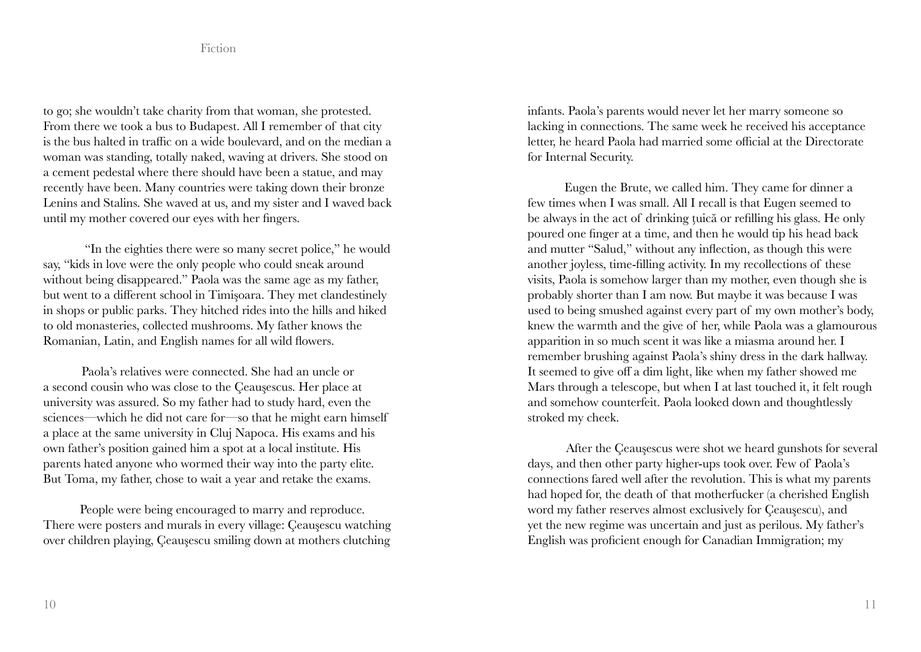to go; she wouldn't take charity from that woman, she protested. From there we took a bus to Budapest. All I remember of that city is the bus halted in traffic on a wide boulevard, and on the median a woman was standing, totally naked, waving at drivers. She stood on a cement pedestal where there should have been a statue, and may recently have been. Many countries were taking down their bronze Lenins and Stalins. She waved at us, and my sister and I waved back until my mother covered our eyes with her fingers.

 "In the eighties there were so many secret police," he would say, "kids in love were the only people who could sneak around without being disappeared." Paola was the same age as my father, but went to a different school in Timişoara. They met clandestinely in shops or public parks. They hitched rides into the hills and hiked to old monasteries, collected mushrooms. My father knows the Romanian, Latin, and English names for all wild flowers.

Paola's relatives were connected. She had an uncle or a second cousin who was close to the Çeauşescus. Her place at university was assured. So my father had to study hard, even the sciences—which he did not care for—so that he might earn himself a place at the same university in Cluj Napoca. His exams and his own father's position gained him a spot at a local institute. His parents hated anyone who wormed their way into the party elite. But Toma, my father, chose to wait a year and retake the exams.

People were being encouraged to marry and reproduce. There were posters and murals in every village: Çeauşescu watching over children playing, Çeauşescu smiling down at mothers clutching infants. Paola's parents would never let her marry someone so lacking in connections. The same week he received his acceptance letter, he heard Paola had married some official at the Directorate for Internal Security.

Eugen the Brute, we called him. They came for dinner a few times when I was small. All I recall is that Eugen seemed to be always in the act of drinking țuică or refilling his glass. He only poured one finger at a time, and then he would tip his head back and mutter "Salud," without any inflection, as though this were another joyless, time-filling activity. In my recollections of these visits, Paola is somehow larger than my mother, even though she is probably shorter than I am now. But maybe it was because I was used to being smushed against every part of my own mother's body, knew the warmth and the give of her, while Paola was a glamourous apparition in so much scent it was like a miasma around her. I remember brushing against Paola's shiny dress in the dark hallway. It seemed to give off a dim light, like when my father showed me Mars through a telescope, but when I at last touched it, it felt rough and somehow counterfeit. Paola looked down and thoughtlessly stroked my cheek.

After the Çeauşescus were shot we heard gunshots for several days, and then other party higher-ups took over. Few of Paola's connections fared well after the revolution. This is what my parents had hoped for, the death of that motherfucker (a cherished English word my father reserves almost exclusively for Çeauşescu), and yet the new regime was uncertain and just as perilous. My father's English was proficient enough for Canadian Immigration; my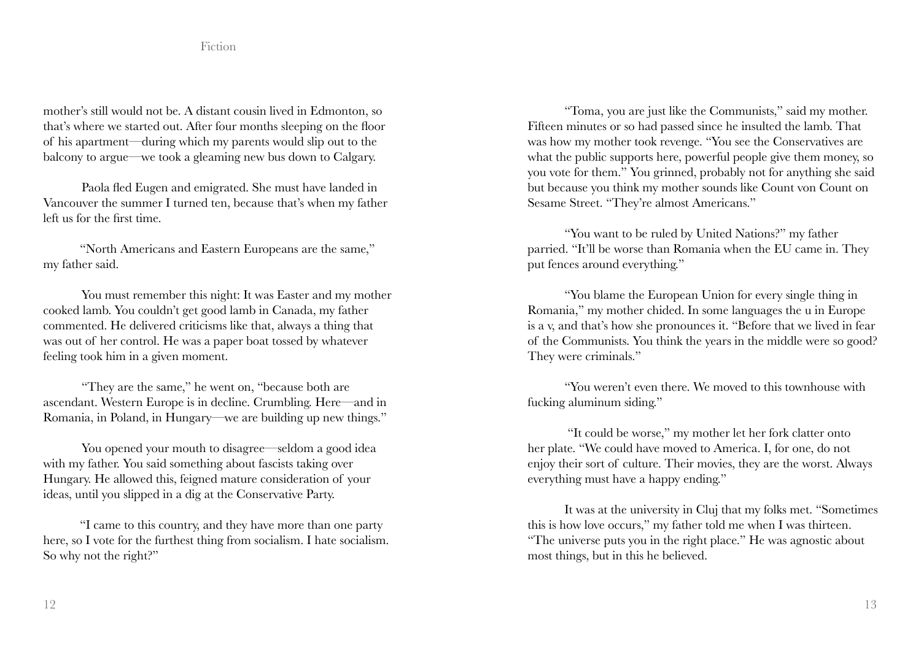mother's still would not be. A distant cousin lived in Edmonton, so that's where we started out. After four months sleeping on the floor of his apartment—during which my parents would slip out to the balcony to argue—we took a gleaming new bus down to Calgary.

Paola fled Eugen and emigrated. She must have landed in Vancouver the summer I turned ten, because that's when my father left us for the first time.

"North Americans and Eastern Europeans are the same," my father said.

You must remember this night: It was Easter and my mother cooked lamb. You couldn't get good lamb in Canada, my father commented. He delivered criticisms like that, always a thing that was out of her control. He was a paper boat tossed by whatever feeling took him in a given moment.

"They are the same," he went on, "because both are ascendant. Western Europe is in decline. Crumbling. Here—and in Romania, in Poland, in Hungary—we are building up new things."

You opened your mouth to disagree—seldom a good idea with my father. You said something about fascists taking over Hungary. He allowed this, feigned mature consideration of your ideas, until you slipped in a dig at the Conservative Party.

"I came to this country, and they have more than one party here, so I vote for the furthest thing from socialism. I hate socialism. So why not the right?"

"Toma, you are just like the Communists," said my mother. Fifteen minutes or so had passed since he insulted the lamb. That was how my mother took revenge. "You see the Conservatives are what the public supports here, powerful people give them money, so you vote for them." You grinned, probably not for anything she said but because you think my mother sounds like Count von Count on Sesame Street. "They're almost Americans."

"You want to be ruled by United Nations?" my father parried. "It'll be worse than Romania when the EU came in. They put fences around everything."

"You blame the European Union for every single thing in Romania," my mother chided. In some languages the u in Europe is a v, and that's how she pronounces it. "Before that we lived in fear of the Communists. You think the years in the middle were so good? They were criminals."

"You weren't even there. We moved to this townhouse with fucking aluminum siding."

 "It could be worse," my mother let her fork clatter onto her plate. "We could have moved to America. I, for one, do not enjoy their sort of culture. Their movies, they are the worst. Always everything must have a happy ending."

It was at the university in Cluj that my folks met. "Sometimes this is how love occurs," my father told me when I was thirteen. "The universe puts you in the right place." He was agnostic about most things, but in this he believed.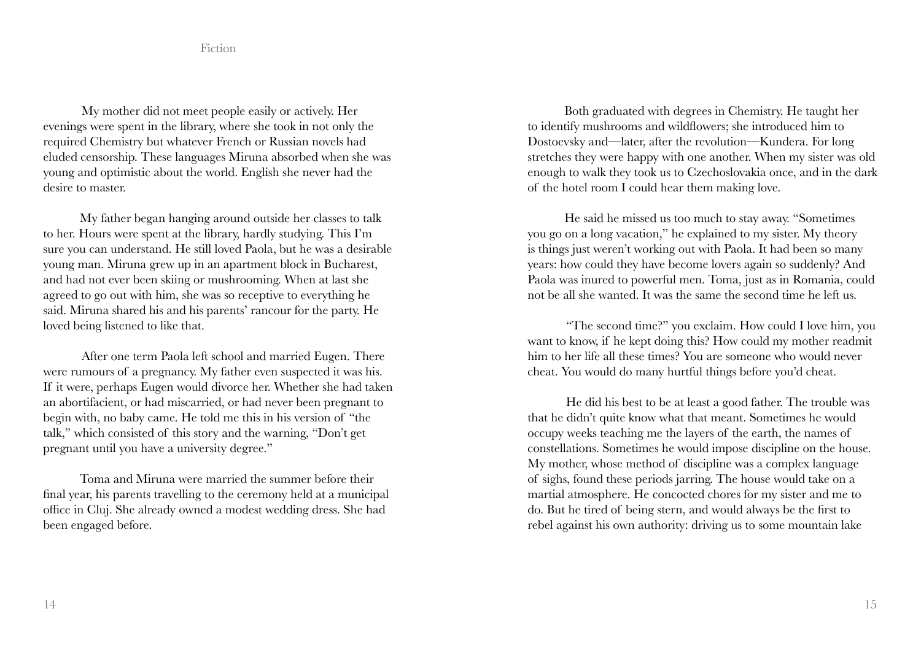My mother did not meet people easily or actively. Her evenings were spent in the library, where she took in not only the required Chemistry but whatever French or Russian novels had eluded censorship. These languages Miruna absorbed when she was young and optimistic about the world. English she never had the desire to master.

My father began hanging around outside her classes to talk to her. Hours were spent at the library, hardly studying. This I'm sure you can understand. He still loved Paola, but he was a desirable young man. Miruna grew up in an apartment block in Bucharest, and had not ever been skiing or mushrooming. When at last she agreed to go out with him, she was so receptive to everything he said. Miruna shared his and his parents' rancour for the party. He loved being listened to like that.

After one term Paola left school and married Eugen. There were rumours of a pregnancy. My father even suspected it was his. If it were, perhaps Eugen would divorce her. Whether she had taken an abortifacient, or had miscarried, or had never been pregnant to begin with, no baby came. He told me this in his version of "the talk," which consisted of this story and the warning, "Don't get pregnant until you have a university degree."

Toma and Miruna were married the summer before their final year, his parents travelling to the ceremony held at a municipal office in Cluj. She already owned a modest wedding dress. She had been engaged before.

Both graduated with degrees in Chemistry. He taught her to identify mushrooms and wildflowers; she introduced him to Dostoevsky and—later, after the revolution—Kundera. For long stretches they were happy with one another. When my sister was old enough to walk they took us to Czechoslovakia once, and in the dark of the hotel room I could hear them making love.

He said he missed us too much to stay away. "Sometimes you go on a long vacation," he explained to my sister. My theory is things just weren't working out with Paola. It had been so many years: how could they have become lovers again so suddenly? And Paola was inured to powerful men. Toma, just as in Romania, could not be all she wanted. It was the same the second time he left us.

"The second time?" you exclaim. How could I love him, you want to know, if he kept doing this? How could my mother readmit him to her life all these times? You are someone who would never cheat. You would do many hurtful things before you'd cheat.

He did his best to be at least a good father. The trouble was that he didn't quite know what that meant. Sometimes he would occupy weeks teaching me the layers of the earth, the names of constellations. Sometimes he would impose discipline on the house. My mother, whose method of discipline was a complex language of sighs, found these periods jarring. The house would take on a martial atmosphere. He concocted chores for my sister and me to do. But he tired of being stern, and would always be the first to rebel against his own authority: driving us to some mountain lake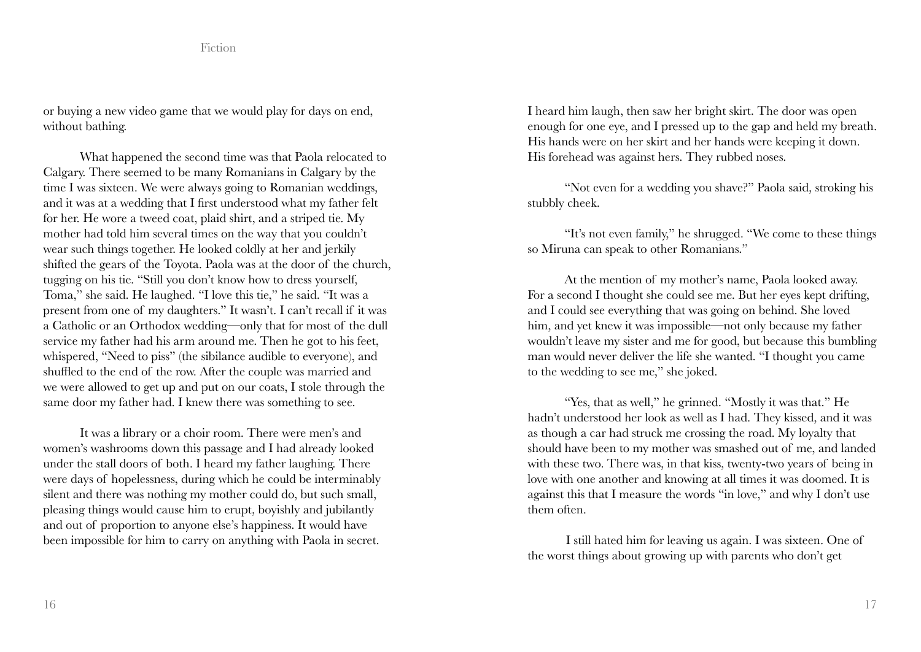or buying a new video game that we would play for days on end, without bathing.

What happened the second time was that Paola relocated to Calgary. There seemed to be many Romanians in Calgary by the time I was sixteen. We were always going to Romanian weddings, and it was at a wedding that I first understood what my father felt for her. He wore a tweed coat, plaid shirt, and a striped tie. My mother had told him several times on the way that you couldn't wear such things together. He looked coldly at her and jerkily shifted the gears of the Toyota. Paola was at the door of the church, tugging on his tie. "Still you don't know how to dress yourself, Toma," she said. He laughed. "I love this tie," he said. "It was a present from one of my daughters." It wasn't. I can't recall if it was a Catholic or an Orthodox wedding—only that for most of the dull service my father had his arm around me. Then he got to his feet, whispered, "Need to piss" (the sibilance audible to everyone), and shuffled to the end of the row. After the couple was married and we were allowed to get up and put on our coats, I stole through the same door my father had. I knew there was something to see.

It was a library or a choir room. There were men's and women's washrooms down this passage and I had already looked under the stall doors of both. I heard my father laughing. There were days of hopelessness, during which he could be interminably silent and there was nothing my mother could do, but such small, pleasing things would cause him to erupt, boyishly and jubilantly and out of proportion to anyone else's happiness. It would have been impossible for him to carry on anything with Paola in secret.

I heard him laugh, then saw her bright skirt. The door was open enough for one eye, and I pressed up to the gap and held my breath. His hands were on her skirt and her hands were keeping it down. His forehead was against hers. They rubbed noses.

"Not even for a wedding you shave?" Paola said, stroking his stubbly cheek.

"It's not even family," he shrugged. "We come to these things so Miruna can speak to other Romanians."

At the mention of my mother's name, Paola looked away. For a second I thought she could see me. But her eyes kept drifting, and I could see everything that was going on behind. She loved him, and yet knew it was impossible—not only because my father wouldn't leave my sister and me for good, but because this bumbling man would never deliver the life she wanted. "I thought you came to the wedding to see me," she joked.

"Yes, that as well," he grinned. "Mostly it was that." He hadn't understood her look as well as I had. They kissed, and it was as though a car had struck me crossing the road. My loyalty that should have been to my mother was smashed out of me, and landed with these two. There was, in that kiss, twenty-two years of being in love with one another and knowing at all times it was doomed. It is against this that I measure the words "in love," and why I don't use them often.

I still hated him for leaving us again. I was sixteen. One of the worst things about growing up with parents who don't get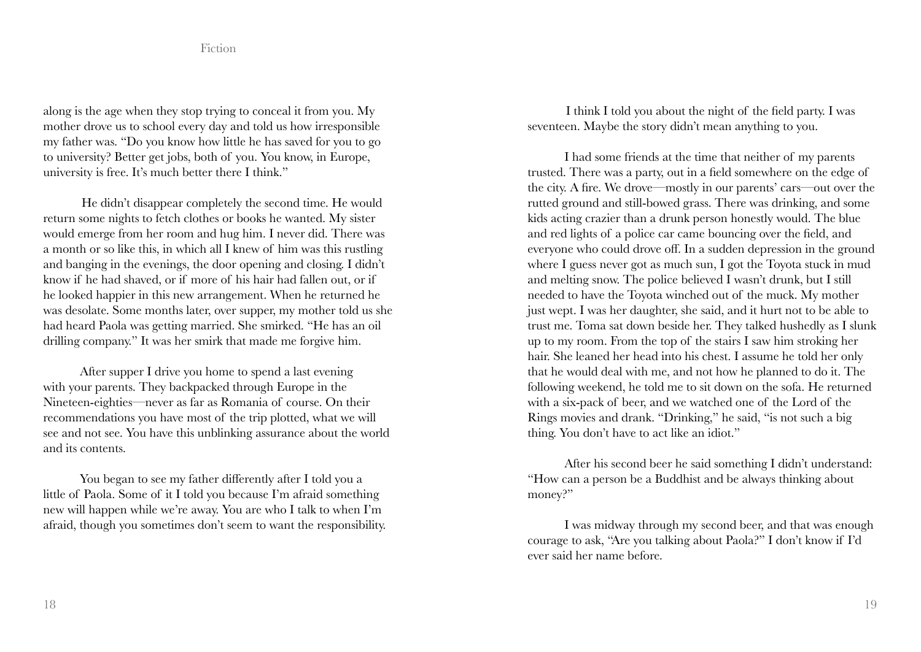along is the age when they stop trying to conceal it from you. My mother drove us to school every day and told us how irresponsible my father was. "Do you know how little he has saved for you to go to university? Better get jobs, both of you. You know, in Europe, university is free. It's much better there I think."

He didn't disappear completely the second time. He would return some nights to fetch clothes or books he wanted. My sister would emerge from her room and hug him. I never did. There was a month or so like this, in which all I knew of him was this rustling and banging in the evenings, the door opening and closing. I didn't know if he had shaved, or if more of his hair had fallen out, or if he looked happier in this new arrangement. When he returned he was desolate. Some months later, over supper, my mother told us she had heard Paola was getting married. She smirked. "He has an oil drilling company." It was her smirk that made me forgive him.

After supper I drive you home to spend a last evening with your parents. They backpacked through Europe in the Nineteen-eighties—never as far as Romania of course. On their recommendations you have most of the trip plotted, what we will see and not see. You have this unblinking assurance about the world and its contents.

You began to see my father differently after I told you a little of Paola. Some of it I told you because I'm afraid something new will happen while we're away. You are who I talk to when I'm afraid, though you sometimes don't seem to want the responsibility.

I think I told you about the night of the field party. I was seventeen. Maybe the story didn't mean anything to you.

I had some friends at the time that neither of my parents trusted. There was a party, out in a field somewhere on the edge of the city. A fire. We drove—mostly in our parents' cars—out over the rutted ground and still-bowed grass. There was drinking, and some kids acting crazier than a drunk person honestly would. The blue and red lights of a police car came bouncing over the field, and everyone who could drove off. In a sudden depression in the ground where I guess never got as much sun, I got the Toyota stuck in mud and melting snow. The police believed I wasn't drunk, but I still needed to have the Toyota winched out of the muck. My mother just wept. I was her daughter, she said, and it hurt not to be able to trust me. Toma sat down beside her. They talked hushedly as I slunk up to my room. From the top of the stairs I saw him stroking her hair. She leaned her head into his chest. I assume he told her only that he would deal with me, and not how he planned to do it. The following weekend, he told me to sit down on the sofa. He returned with a six-pack of beer, and we watched one of the Lord of the Rings movies and drank. "Drinking," he said, "is not such a big thing. You don't have to act like an idiot."

After his second beer he said something I didn't understand: "How can a person be a Buddhist and be always thinking about money?"

I was midway through my second beer, and that was enough courage to ask, "Are you talking about Paola?" I don't know if I'd ever said her name before.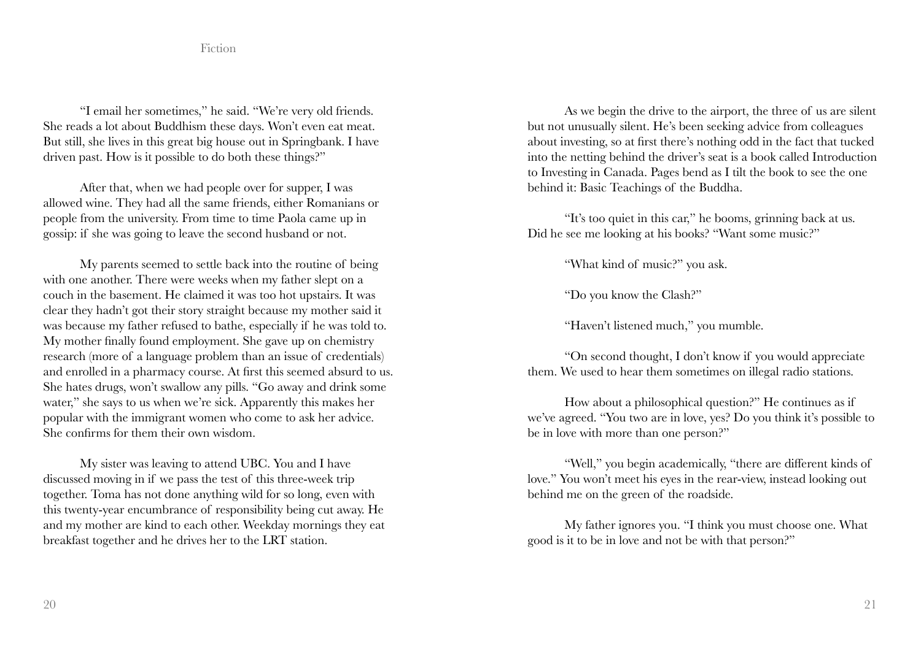"I email her sometimes," he said. "We're very old friends. She reads a lot about Buddhism these days. Won't even eat meat. But still, she lives in this great big house out in Springbank. I have driven past. How is it possible to do both these things?"

After that, when we had people over for supper, I was allowed wine. They had all the same friends, either Romanians or people from the university. From time to time Paola came up in gossip: if she was going to leave the second husband or not.

My parents seemed to settle back into the routine of being with one another. There were weeks when my father slept on a couch in the basement. He claimed it was too hot upstairs. It was clear they hadn't got their story straight because my mother said it was because my father refused to bathe, especially if he was told to. My mother finally found employment. She gave up on chemistry research (more of a language problem than an issue of credentials) and enrolled in a pharmacy course. At first this seemed absurd to us. She hates drugs, won't swallow any pills. "Go away and drink some water," she says to us when we're sick. Apparently this makes her popular with the immigrant women who come to ask her advice. She confirms for them their own wisdom.

My sister was leaving to attend UBC. You and I have discussed moving in if we pass the test of this three-week trip together. Toma has not done anything wild for so long, even with this twenty-year encumbrance of responsibility being cut away. He and my mother are kind to each other. Weekday mornings they eat breakfast together and he drives her to the LRT station.

As we begin the drive to the airport, the three of us are silent but not unusually silent. He's been seeking advice from colleagues about investing, so at first there's nothing odd in the fact that tucked into the netting behind the driver's seat is a book called Introduction to Investing in Canada. Pages bend as I tilt the book to see the one behind it: Basic Teachings of the Buddha.

"It's too quiet in this car," he booms, grinning back at us. Did he see me looking at his books? "Want some music?"

"What kind of music?" you ask.

"Do you know the Clash?"

"Haven't listened much," you mumble.

"On second thought, I don't know if you would appreciate them. We used to hear them sometimes on illegal radio stations.

How about a philosophical question?" He continues as if we've agreed. "You two are in love, yes? Do you think it's possible to be in love with more than one person?"

"Well," you begin academically, "there are different kinds of love." You won't meet his eyes in the rear-view, instead looking out behind me on the green of the roadside.

My father ignores you. "I think you must choose one. What good is it to be in love and not be with that person?"